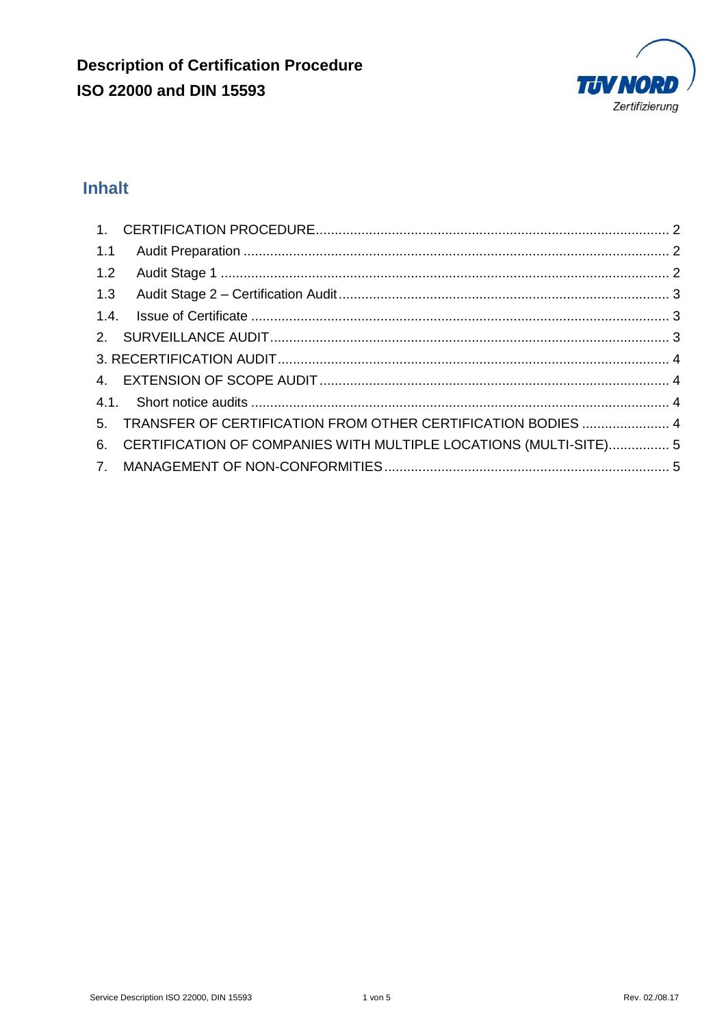

# **Inhalt**

| 1.1 |                                                                      |  |
|-----|----------------------------------------------------------------------|--|
|     |                                                                      |  |
|     |                                                                      |  |
|     |                                                                      |  |
|     |                                                                      |  |
|     |                                                                      |  |
|     |                                                                      |  |
|     |                                                                      |  |
|     | 5. TRANSFER OF CERTIFICATION FROM OTHER CERTIFICATION BODIES  4      |  |
|     | 6. CERTIFICATION OF COMPANIES WITH MULTIPLE LOCATIONS (MULTI-SITE) 5 |  |
|     |                                                                      |  |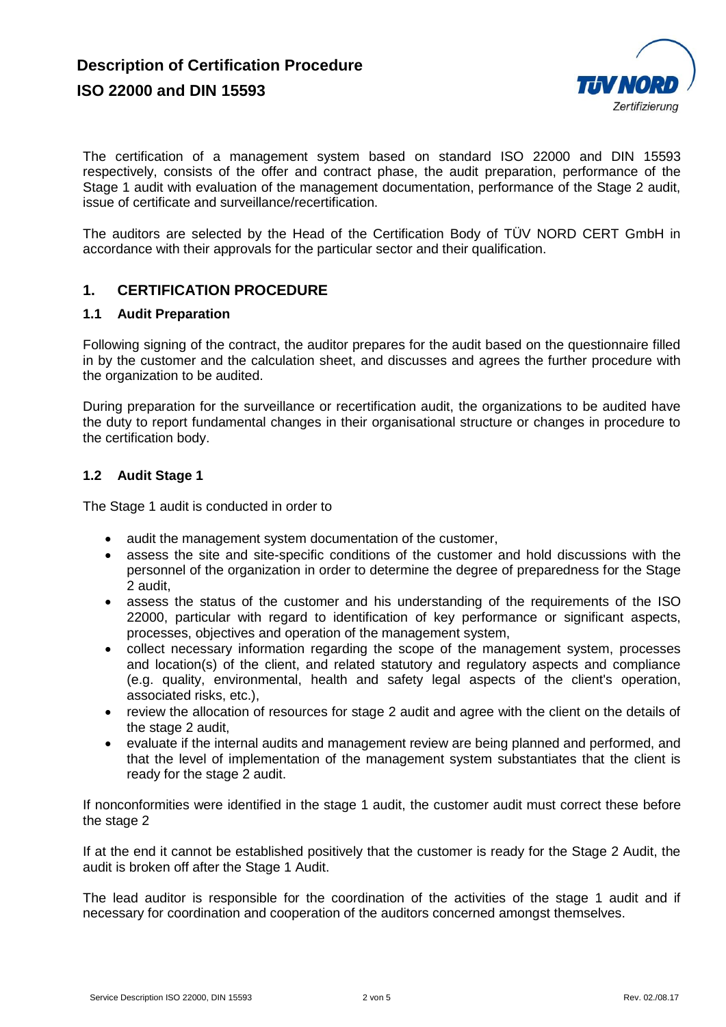

The certification of a management system based on standard ISO 22000 and DIN 15593 respectively, consists of the offer and contract phase, the audit preparation, performance of the Stage 1 audit with evaluation of the management documentation, performance of the Stage 2 audit, issue of certificate and surveillance/recertification.

The auditors are selected by the Head of the Certification Body of TÜV NORD CERT GmbH in accordance with their approvals for the particular sector and their qualification.

## **1. CERTIFICATION PROCEDURE**

#### **1.1 Audit Preparation**

Following signing of the contract, the auditor prepares for the audit based on the questionnaire filled in by the customer and the calculation sheet, and discusses and agrees the further procedure with the organization to be audited.

During preparation for the surveillance or recertification audit, the organizations to be audited have the duty to report fundamental changes in their organisational structure or changes in procedure to the certification body.

#### **1.2 Audit Stage 1**

The Stage 1 audit is conducted in order to

- audit the management system documentation of the customer,
- assess the site and site-specific conditions of the customer and hold discussions with the personnel of the organization in order to determine the degree of preparedness for the Stage 2 audit,
- assess the status of the customer and his understanding of the requirements of the ISO 22000, particular with regard to identification of key performance or significant aspects, processes, objectives and operation of the management system,
- collect necessary information regarding the scope of the management system, processes and location(s) of the client, and related statutory and regulatory aspects and compliance (e.g. quality, environmental, health and safety legal aspects of the client's operation, associated risks, etc.),
- review the allocation of resources for stage 2 audit and agree with the client on the details of the stage 2 audit,
- evaluate if the internal audits and management review are being planned and performed, and that the level of implementation of the management system substantiates that the client is ready for the stage 2 audit.

If nonconformities were identified in the stage 1 audit, the customer audit must correct these before the stage 2

If at the end it cannot be established positively that the customer is ready for the Stage 2 Audit, the audit is broken off after the Stage 1 Audit.

The lead auditor is responsible for the coordination of the activities of the stage 1 audit and if necessary for coordination and cooperation of the auditors concerned amongst themselves.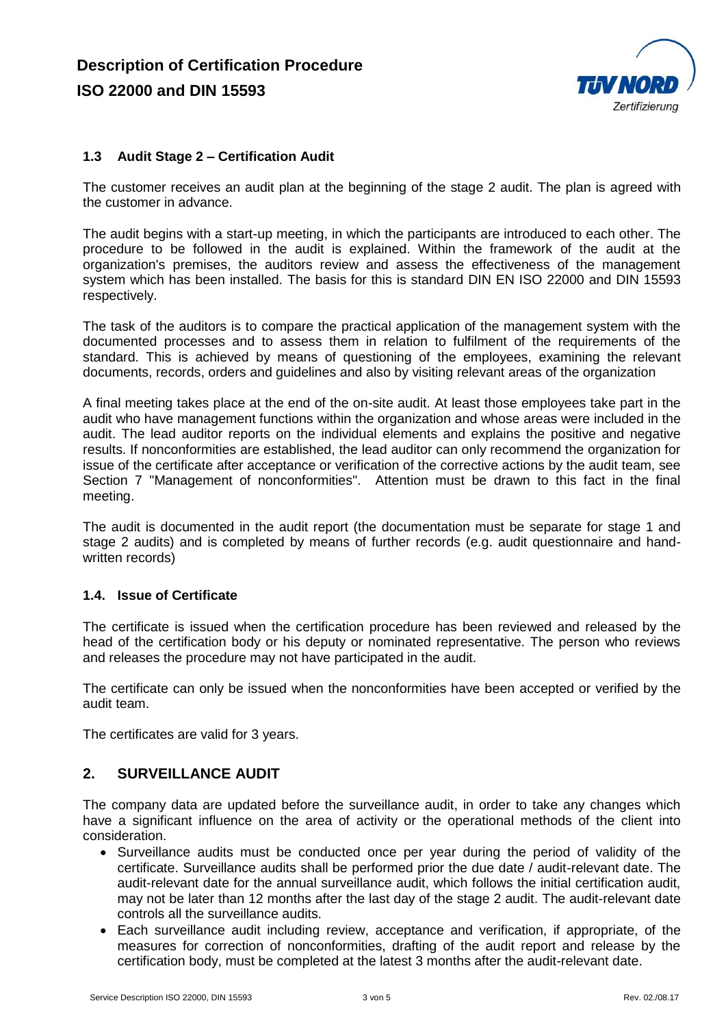

## **1.3 Audit Stage 2 – Certification Audit**

The customer receives an audit plan at the beginning of the stage 2 audit. The plan is agreed with the customer in advance.

The audit begins with a start-up meeting, in which the participants are introduced to each other. The procedure to be followed in the audit is explained. Within the framework of the audit at the organization's premises, the auditors review and assess the effectiveness of the management system which has been installed. The basis for this is standard DIN EN ISO 22000 and DIN 15593 respectively.

The task of the auditors is to compare the practical application of the management system with the documented processes and to assess them in relation to fulfilment of the requirements of the standard. This is achieved by means of questioning of the employees, examining the relevant documents, records, orders and guidelines and also by visiting relevant areas of the organization

A final meeting takes place at the end of the on-site audit. At least those employees take part in the audit who have management functions within the organization and whose areas were included in the audit. The lead auditor reports on the individual elements and explains the positive and negative results. If nonconformities are established, the lead auditor can only recommend the organization for issue of the certificate after acceptance or verification of the corrective actions by the audit team, see Section 7 "Management of nonconformities". Attention must be drawn to this fact in the final meeting.

The audit is documented in the audit report (the documentation must be separate for stage 1 and stage 2 audits) and is completed by means of further records (e.g. audit questionnaire and handwritten records)

#### **1.4. Issue of Certificate**

The certificate is issued when the certification procedure has been reviewed and released by the head of the certification body or his deputy or nominated representative. The person who reviews and releases the procedure may not have participated in the audit.

The certificate can only be issued when the nonconformities have been accepted or verified by the audit team.

The certificates are valid for 3 years.

## **2. SURVEILLANCE AUDIT**

The company data are updated before the surveillance audit, in order to take any changes which have a significant influence on the area of activity or the operational methods of the client into consideration.

- Surveillance audits must be conducted once per year during the period of validity of the certificate. Surveillance audits shall be performed prior the due date / audit-relevant date. The audit-relevant date for the annual surveillance audit, which follows the initial certification audit, may not be later than 12 months after the last day of the stage 2 audit. The audit-relevant date controls all the surveillance audits.
- Each surveillance audit including review, acceptance and verification, if appropriate, of the measures for correction of nonconformities, drafting of the audit report and release by the certification body, must be completed at the latest 3 months after the audit-relevant date.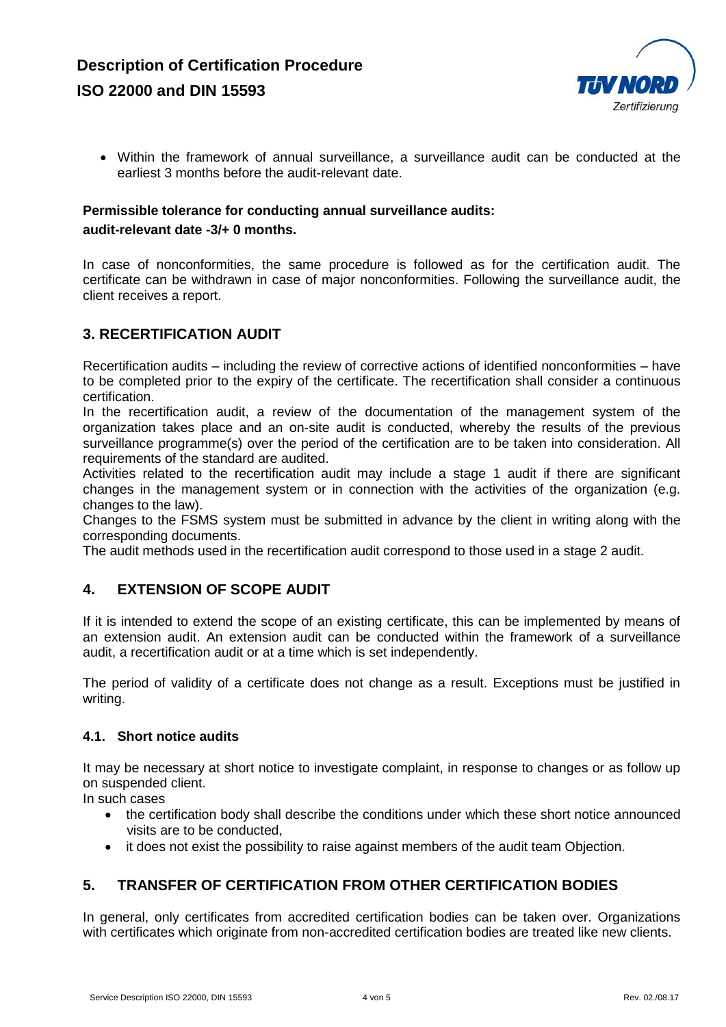

 Within the framework of annual surveillance, a surveillance audit can be conducted at the earliest 3 months before the audit-relevant date.

# **Permissible tolerance for conducting annual surveillance audits:**

#### **audit-relevant date -3/+ 0 months.**

In case of nonconformities, the same procedure is followed as for the certification audit. The certificate can be withdrawn in case of major nonconformities. Following the surveillance audit, the client receives a report.

# **3. RECERTIFICATION AUDIT**

Recertification audits – including the review of corrective actions of identified nonconformities – have to be completed prior to the expiry of the certificate. The recertification shall consider a continuous certification.

In the recertification audit, a review of the documentation of the management system of the organization takes place and an on-site audit is conducted, whereby the results of the previous surveillance programme(s) over the period of the certification are to be taken into consideration. All requirements of the standard are audited.

Activities related to the recertification audit may include a stage 1 audit if there are significant changes in the management system or in connection with the activities of the organization (e.g. changes to the law).

Changes to the FSMS system must be submitted in advance by the client in writing along with the corresponding documents.

The audit methods used in the recertification audit correspond to those used in a stage 2 audit.

## **4. EXTENSION OF SCOPE AUDIT**

If it is intended to extend the scope of an existing certificate, this can be implemented by means of an extension audit. An extension audit can be conducted within the framework of a surveillance audit, a recertification audit or at a time which is set independently.

The period of validity of a certificate does not change as a result. Exceptions must be justified in writing.

#### **4.1. Short notice audits**

It may be necessary at short notice to investigate complaint, in response to changes or as follow up on suspended client.

In such cases

- the certification body shall describe the conditions under which these short notice announced visits are to be conducted,
- it does not exist the possibility to raise against members of the audit team Objection.

## **5. TRANSFER OF CERTIFICATION FROM OTHER CERTIFICATION BODIES**

In general, only certificates from accredited certification bodies can be taken over. Organizations with certificates which originate from non-accredited certification bodies are treated like new clients.